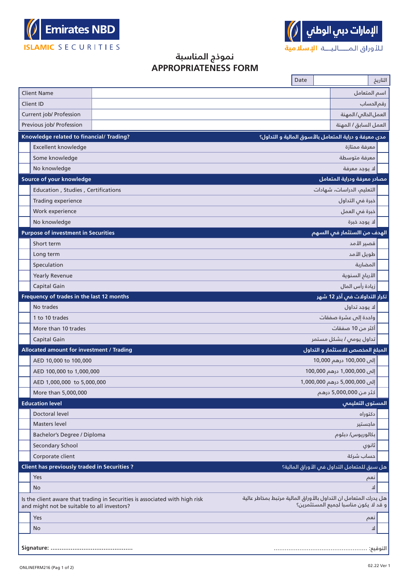



## **نموذج المناسبة APPROPRIATENESS FORM**

|                                                                                                                                                                     |                                             |  |                                                                 | Date |                                             |            | التاريخ |  |  |
|---------------------------------------------------------------------------------------------------------------------------------------------------------------------|---------------------------------------------|--|-----------------------------------------------------------------|------|---------------------------------------------|------------|---------|--|--|
|                                                                                                                                                                     | <b>Client Name</b>                          |  |                                                                 |      | اسم المتعامل                                |            |         |  |  |
|                                                                                                                                                                     | Client ID                                   |  |                                                                 |      |                                             | رقم الحساب |         |  |  |
|                                                                                                                                                                     | Current job/ Profession                     |  | العمل الدالم/المهنة                                             |      |                                             |            |         |  |  |
|                                                                                                                                                                     | Previous job/ Profession                    |  | العمل السابق / المهنة                                           |      |                                             |            |         |  |  |
|                                                                                                                                                                     | Knowledge related to financial/ Trading?    |  | مدى معرفة و دراية المتعامل بالأسوق المالية و التداول؟           |      |                                             |            |         |  |  |
|                                                                                                                                                                     | Excellent knowledge                         |  | معرفة ممتازة                                                    |      |                                             |            |         |  |  |
|                                                                                                                                                                     | Some knowledge                              |  | معرفة متوسطة                                                    |      |                                             |            |         |  |  |
|                                                                                                                                                                     | No knowledge                                |  | لا يوجد معرفة                                                   |      |                                             |            |         |  |  |
|                                                                                                                                                                     | Source of your knowledge                    |  | مصادر معرفة ودراية المتعامل                                     |      |                                             |            |         |  |  |
|                                                                                                                                                                     | Education, Studies, Certifications          |  | التعليم، الدراسات، شهادات                                       |      |                                             |            |         |  |  |
|                                                                                                                                                                     | Trading experience                          |  |                                                                 |      | خبرة فى التداول                             |            |         |  |  |
|                                                                                                                                                                     | Work experience                             |  |                                                                 |      | خبرة فى العمل                               |            |         |  |  |
|                                                                                                                                                                     | No knowledge                                |  | لا يوجد خبرة                                                    |      |                                             |            |         |  |  |
|                                                                                                                                                                     | <b>Purpose of investment in Securities</b>  |  |                                                                 |      | الهدف من االستثمار في االسهم                |            |         |  |  |
|                                                                                                                                                                     | Short term                                  |  |                                                                 |      | قصير الأمد                                  |            |         |  |  |
|                                                                                                                                                                     | Long term                                   |  |                                                                 |      | طويل الأمد                                  |            |         |  |  |
|                                                                                                                                                                     | Speculation                                 |  |                                                                 |      | المضاربة                                    |            |         |  |  |
|                                                                                                                                                                     | <b>Yearly Revenue</b>                       |  |                                                                 |      | الأربام السنوية                             |            |         |  |  |
|                                                                                                                                                                     | Capital Gain                                |  |                                                                 |      | زيادة رأس المال                             |            |         |  |  |
|                                                                                                                                                                     | Frequency of trades in the last 12 months   |  | تكرار التداولات في آخر 12 شهر                                   |      |                                             |            |         |  |  |
|                                                                                                                                                                     | No trades                                   |  |                                                                 |      | لا يوجد تداول                               |            |         |  |  |
|                                                                                                                                                                     | 1 to 10 trades                              |  |                                                                 |      | واحدة إلىى عشرة صفقات                       |            |         |  |  |
|                                                                                                                                                                     | More than 10 trades                         |  |                                                                 |      | أكثر من 10 صفقات                            |            |         |  |  |
|                                                                                                                                                                     | Capital Gain                                |  | تداول یومں / بشکل مستمر                                         |      |                                             |            |         |  |  |
|                                                                                                                                                                     | Allocated amount for investment / Trading   |  | المبلغ المخصص للاستثمار و التداول                               |      |                                             |            |         |  |  |
|                                                                                                                                                                     | AED 10,000 to 100,000                       |  |                                                                 |      | إلى 100,000 درهم 10,000                     |            |         |  |  |
|                                                                                                                                                                     | AED 100,000 to 1,000,000                    |  |                                                                 |      | إلى 1,000,000 درهم 100,000                  |            |         |  |  |
|                                                                                                                                                                     | AED 1,000,000 to 5,000,000                  |  |                                                                 |      | إلى 5,000,000 درهم 1,000,000                |            |         |  |  |
|                                                                                                                                                                     | More than 5,000,000                         |  |                                                                 |      | كثر من 5,000,000 درهم                       |            |         |  |  |
|                                                                                                                                                                     | <b>Education level</b>                      |  |                                                                 |      | <mark>المستوى التعليمي</mark>               |            |         |  |  |
|                                                                                                                                                                     | <b>Doctoral level</b>                       |  |                                                                 |      | دكتوراه                                     |            |         |  |  |
|                                                                                                                                                                     | <b>Masters level</b>                        |  |                                                                 |      | ماجستير                                     |            |         |  |  |
|                                                                                                                                                                     | Bachelor's Degree / Diploma                 |  |                                                                 |      | بكالوريوس/ دبلوم                            |            |         |  |  |
|                                                                                                                                                                     | Secondary School                            |  |                                                                 |      |                                             | ثانوي      |         |  |  |
|                                                                                                                                                                     | Corporate client                            |  |                                                                 |      | حساب شركة                                   |            |         |  |  |
|                                                                                                                                                                     | Client has previously traded in Securities? |  |                                                                 |      | هل سبق للمتعامل التداول فس الأوراق المالية؟ |            |         |  |  |
|                                                                                                                                                                     | Yes<br>No                                   |  |                                                                 |      |                                             | نعم<br>ᆚ   |         |  |  |
|                                                                                                                                                                     |                                             |  | هل يدرك المتعامل ان التداول بالأوراق المالية مرتبط بمخاطر عالية |      |                                             |            |         |  |  |
| Is the client aware that trading in Securities is associated with high risk<br>و قد لا يكون مناسبا لجميع المستثمرين؟<br>and might not be suitable to all investors? |                                             |  |                                                                 |      |                                             |            |         |  |  |
|                                                                                                                                                                     | Yes                                         |  |                                                                 |      |                                             | نعم        |         |  |  |
|                                                                                                                                                                     | No                                          |  |                                                                 |      |                                             | 고          |         |  |  |
|                                                                                                                                                                     | Signature:                                  |  |                                                                 |      |                                             | التوقيع:   |         |  |  |